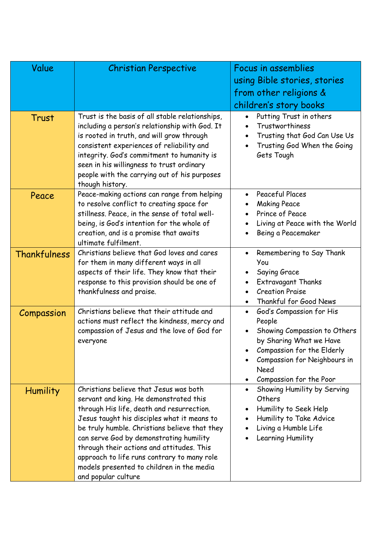| Value           | <b>Christian Perspective</b>                                                                                                                                                                                                                                                                                                                                                                                                             | Focus in assemblies<br>using Bible stories, stories<br>from other religions &<br>children's story books                                                                                                     |  |
|-----------------|------------------------------------------------------------------------------------------------------------------------------------------------------------------------------------------------------------------------------------------------------------------------------------------------------------------------------------------------------------------------------------------------------------------------------------------|-------------------------------------------------------------------------------------------------------------------------------------------------------------------------------------------------------------|--|
| Trust           | Trust is the basis of all stable relationships,<br>including a person's relationship with God. It<br>is rooted in truth, and will grow through<br>consistent experiences of reliability and<br>integrity. God's commitment to humanity is<br>seen in his willingness to trust ordinary<br>people with the carrying out of his purposes<br>though history.                                                                                | Putting Trust in others<br>$\bullet$<br>Trustworthiness<br>$\bullet$<br>Trusting that God Can Use Us<br>$\bullet$<br>Trusting God When the Going<br>$\bullet$<br>Gets Tough                                 |  |
| Peace           | Peace-making actions can range from helping<br>to resolve conflict to creating space for<br>stillness. Peace, in the sense of total well-<br>being, is God's intention for the whole of<br>creation, and is a promise that awaits<br>ultimate fulfilment.                                                                                                                                                                                | Peaceful Places<br>$\bullet$<br><b>Making Peace</b><br>Prince of Peace<br>$\bullet$<br>Living at Peace with the World<br>Being a Peacemaker                                                                 |  |
| Thankfulness    | Christians believe that God loves and cares<br>for them in many different ways in all<br>aspects of their life. They know that their<br>response to this provision should be one of<br>thankfulness and praise.                                                                                                                                                                                                                          | Remembering to Say Thank<br>$\bullet$<br>You<br>Saying Grace<br>Extravagant Thanks<br>$\bullet$<br><b>Creation Praise</b><br>Thankful for Good News<br>$\bullet$                                            |  |
| Compassion      | Christians believe that their attitude and<br>actions must reflect the kindness, mercy and<br>compassion of Jesus and the love of God for<br>everyone                                                                                                                                                                                                                                                                                    | God's Compassion for His<br>$\bullet$<br>People<br>Showing Compassion to Others<br>by Sharing What we Have<br>Compassion for the Elderly<br>Compassion for Neighbours in<br>Need<br>Compassion for the Poor |  |
| <b>Humility</b> | Christians believe that Jesus was both<br>servant and king. He demonstrated this<br>through His life, death and resurrection.<br>Jesus taught his disciples what it means to<br>be truly humble. Christians believe that they<br>can serve God by demonstrating humility<br>through their actions and attitudes. This<br>approach to life runs contrary to many role<br>models presented to children in the media<br>and popular culture | Showing Humility by Serving<br>$\bullet$<br>Others<br>Humility to Seek Help<br>$\bullet$<br>Humility to Take Advice<br>$\bullet$<br>Living a Humble Life<br>Learning Humility                               |  |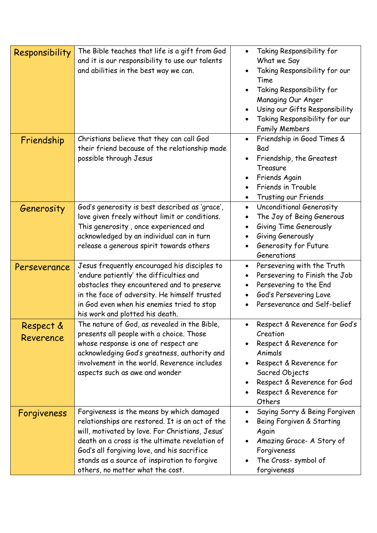| Responsibility         | The Bible teaches that life is a gift from God<br>and it is our responsibility to use our talents<br>and abilities in the best way we can.                                                                                                                                                                                           | Taking Responsibility for<br>$\bullet$<br>What we Say<br>Taking Responsibility for our<br>٠<br>Time<br>Taking Responsibility for<br>Managing Our Anger<br>Using our Gifts Responsibility<br>Taking Responsibility for our<br><b>Family Members</b> |
|------------------------|--------------------------------------------------------------------------------------------------------------------------------------------------------------------------------------------------------------------------------------------------------------------------------------------------------------------------------------|----------------------------------------------------------------------------------------------------------------------------------------------------------------------------------------------------------------------------------------------------|
| Friendship             | Christians believe that they can call God<br>their friend because of the relationship made<br>possible through Jesus                                                                                                                                                                                                                 | Friendship in Good Times &<br>$\bullet$<br>Bad<br>Friendship, the Greatest<br>Treasure<br>Friends Again<br>Friends in Trouble<br>Trusting our Friends<br>٠                                                                                         |
| Generosity             | God's generosity is best described as 'grace',<br>love given freely without limit or conditions.<br>This generosity, once experienced and<br>acknowledged by an individual can in turn<br>release a generous spirit towards others                                                                                                   | Unconditional Generosity<br>$\bullet$<br>The Joy of Being Generous<br>$\bullet$<br>Giving Time Generously<br>$\bullet$<br>Giving Generously<br>Generosity for Future<br>Generations                                                                |
| Perseverance           | Jesus frequently encouraged his disciples to<br>'endure patiently' the difficulties and<br>obstacles they encountered and to preserve<br>in the face of adversity. He himself trusted<br>in God even when his enemies tried to stop<br>his work and plotted his death.                                                               | Persevering with the Truth<br>$\bullet$<br>Persevering to Finish the Job<br>$\bullet$<br>Persevering to the End<br>$\bullet$<br>God's Persevering Love<br>Perseverance and Self-belief                                                             |
| Respect &<br>Reverence | The nature of God, as revealed in the Bible,<br>presents all people with a choice. Those<br>whose response is one of respect are<br>acknowledging God's greatness, authority and<br>involvement in the world. Reverence includes<br>aspects such as awe and wonder                                                                   | Respect & Reverence for God's<br>$\bullet$<br>Creation<br>Respect & Reverence for<br>Animals<br>Respect & Reverence for<br>$\bullet$<br>Sacred Objects<br>Respect & Reverence for God<br>Respect & Reverence for<br>Others                         |
| Forgiveness            | Forgiveness is the means by which damaged<br>relationships are restored. It is an act of the<br>will, motivated by love. For Christians, Jesus'<br>death on a cross is the ultimate revelation of<br>God's all forgiving love, and his sacrifice<br>stands as a source of inspiration to forgive<br>others, no matter what the cost. | Saying Sorry & Being Forgiven<br>$\bullet$<br>Being Forgiven & Starting<br>Again<br>Amazing Grace- A Story of<br>Forgiveness<br>The Cross- symbol of<br>forgiveness                                                                                |